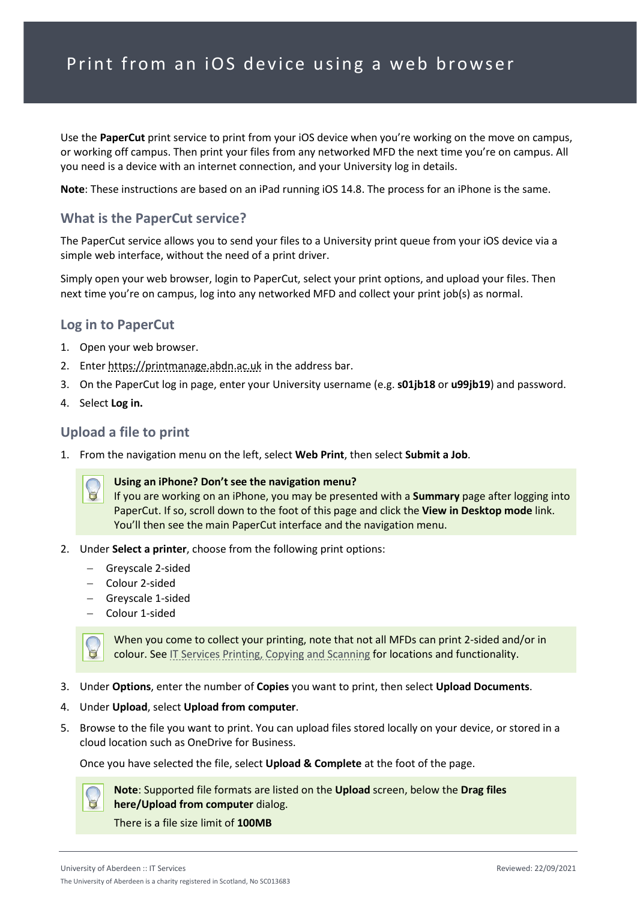# Print from an iOS device using a web browser

Use the **PaperCut** print service to print from your iOS device when you're working on the move on campus, or working off campus. Then print your files from any networked MFD the next time you're on campus. All you need is a device with an internet connection, and your University log in details.

**Note**: These instructions are based on an iPad running iOS 14.8. The process for an iPhone is the same.

### **What is the PaperCut service?**

The PaperCut service allows you to send your files to a University print queue from your iOS device via a simple web interface, without the need of a print driver.

Simply open your web browser, login to PaperCut, select your print options, and upload your files. Then next time you're on campus, log into any networked MFD and collect your print job(s) as normal.

#### **Log in to PaperCut**

- 1. Open your web browser.
- 2. Enter [https://printmanage.abdn.ac.uk](https://printmanage.abdn.ac.uk/) in the address bar.
- 3. On the PaperCut log in page, enter your University username (e.g. **s01jb18** or **u99jb19**) and password.
- 4. Select **Log in.**

#### **Upload a file to print**

1. From the navigation menu on the left, select **Web Print**, then select **Submit a Job**.



#### **Using an iPhone? Don't see the navigation menu?**

If you are working on an iPhone, you may be presented with a **Summary** page after logging into PaperCut. If so, scroll down to the foot of this page and click the **View in Desktop mode** link. You'll then see the main PaperCut interface and the navigation menu.

- 2. Under **Select a printer**, choose from the following print options:
	- − Greyscale 2-sided
	- − Colour 2-sided
	- − Greyscale 1-sided
	- − Colour 1-sided

When you come to collect your printing, note that not all MFDs can print 2-sided and/or in colour. See [IT Services Printing, Copying and Scanning](https://www.abdn.ac.uk/it/student/print/index.php#panel1227) for locations and functionality.

- 3. Under **Options**, enter the number of **Copies** you want to print, then select **Upload Documents**.
- 4. Under **Upload**, select **Upload from computer**.
- 5. Browse to the file you want to print. You can upload files stored locally on your device, or stored in a cloud location such as OneDrive for Business.

Once you have selected the file, select **Upload & Complete** at the foot of the page.



**Note**: Supported file formats are listed on the **Upload** screen, below the **Drag files here/Upload from computer** dialog.

There is a file size limit of **100MB**